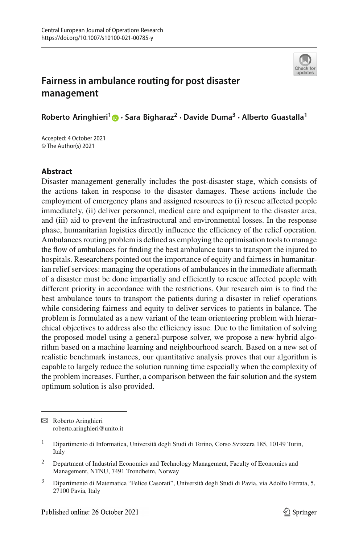

# **Fairness in ambulance routing for post disaster management**

**Roberto Aringhieri[1](http://orcid.org/0000-0002-5170-2630) · Sara Bigharaz2 · Davide Duma3 · Alberto Guastalla<sup>1</sup>**

Accepted: 4 October 2021 © The Author(s) 2021

## **Abstract**

Disaster management generally includes the post-disaster stage, which consists of the actions taken in response to the disaster damages. These actions include the employment of emergency plans and assigned resources to (i) rescue affected people immediately, (ii) deliver personnel, medical care and equipment to the disaster area, and (iii) aid to prevent the infrastructural and environmental losses. In the response phase, humanitarian logistics directly influence the efficiency of the relief operation. Ambulances routing problem is defined as employing the optimisation tools to manage the flow of ambulances for finding the best ambulance tours to transport the injured to hospitals. Researchers pointed out the importance of equity and fairness in humanitarian relief services: managing the operations of ambulances in the immediate aftermath of a disaster must be done impartially and efficiently to rescue affected people with different priority in accordance with the restrictions. Our research aim is to find the best ambulance tours to transport the patients during a disaster in relief operations while considering fairness and equity to deliver services to patients in balance. The problem is formulated as a new variant of the team orienteering problem with hierarchical objectives to address also the efficiency issue. Due to the limitation of solving the proposed model using a general-purpose solver, we propose a new hybrid algorithm based on a machine learning and neighbourhood search. Based on a new set of realistic benchmark instances, our quantitative analysis proves that our algorithm is capable to largely reduce the solution running time especially when the complexity of the problem increases. Further, a comparison between the fair solution and the system optimum solution is also provided.

 $\boxtimes$  Roberto Aringhieri roberto.aringhieri@unito.it

<sup>&</sup>lt;sup>1</sup> Dipartimento di Informatica, Università degli Studi di Torino, Corso Svizzera 185, 10149 Turin, Italy

<sup>&</sup>lt;sup>2</sup> Department of Industrial Economics and Technology Management, Faculty of Economics and Management, NTNU, 7491 Trondheim, Norway

<sup>3</sup> Dipartimento di Matematica "Felice Casorati", Università degli Studi di Pavia, via Adolfo Ferrata, 5, 27100 Pavia, Italy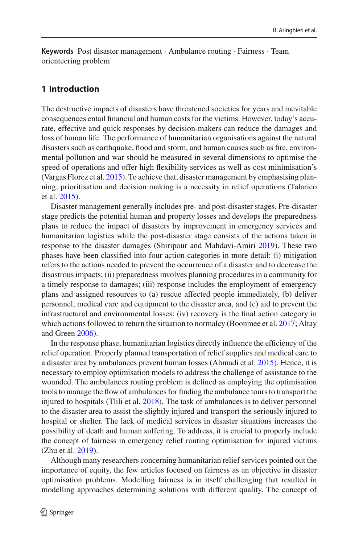**Keywords** Post disaster management · Ambulance routing · Fairness · Team orienteering problem

## **1 Introduction**

The destructive impacts of disasters have threatened societies for years and inevitable consequences entail financial and human costs for the victims. However, today's accurate, effective and quick responses by decision-makers can reduce the damages and loss of human life. The performance of humanitarian organisations against the natural disasters such as earthquake, flood and storm, and human causes such as fire, environmental pollution and war should be measured in several dimensions to optimise the speed of operations and offer high flexibility services as well as cost minimisation's (Vargas Florez et al[.](#page-22-0) [2015\)](#page-22-0). To achieve that, disaster management by emphasising planning, prioritisation and decision making is a necessity in relief operations (Talarico et al[.](#page-22-1) [2015\)](#page-22-1).

Disaster management generally includes pre- and post-disaster stages. Pre-disaster stage predicts the potential human and property losses and develops the preparedness plans to reduce the impact of disasters by improvement in emergency services and humanitarian logistics while the post-disaster stage consists of the actions taken in response to the disaster damages (Shiripour and Mahdavi-Amir[i](#page-22-2) [2019\)](#page-22-2). These two phases have been classified into four action categories in more detail: (i) mitigation refers to the actions needed to prevent the occurrence of a disaster and to decrease the disastrous impacts; (ii) preparedness involves planning procedures in a community for a timely response to damages; (iii) response includes the employment of emergency plans and assigned resources to (a) rescue affected people immediately, (b) deliver personnel, medical care and equipment to the disaster area, and (c) aid to prevent the infrastructural and environmental losses; (iv) recovery is the final action category in which actions followed to return the situation to normalcy (Boonmee et al[.](#page-21-0) [2017](#page-21-0); Altay and Gree[n](#page-20-0) [2006](#page-20-0)).

In the response phase, humanitarian logistics directly influence the efficiency of the relief operation. Properly planned transportation of relief supplies and medical care to a disaster area by ambulances prevent human losses (Ahmadi et al[.](#page-20-1) [2015\)](#page-20-1). Hence, it is necessary to employ optimisation models to address the challenge of assistance to the wounded. The ambulances routing problem is defined as employing the optimisation tools to manage the flow of ambulances for finding the ambulance tours to transport the injured to hospitals (Tlili et al[.](#page-22-3) [2018\)](#page-22-3). The task of ambulances is to deliver personnel to the disaster area to assist the slightly injured and transport the seriously injured to hospital or shelter. The lack of medical services in disaster situations increases the possibility of death and human suffering. To address, it is crucial to properly include the concept of fairness in emergency relief routing optimisation for injured victims (Zhu et al[.](#page-22-4) [2019](#page-22-4)).

Although many researchers concerning humanitarian relief services pointed out the importance of equity, the few articles focused on fairness as an objective in disaster optimisation problems. Modelling fairness is in itself challenging that resulted in modelling approaches determining solutions with different quality. The concept of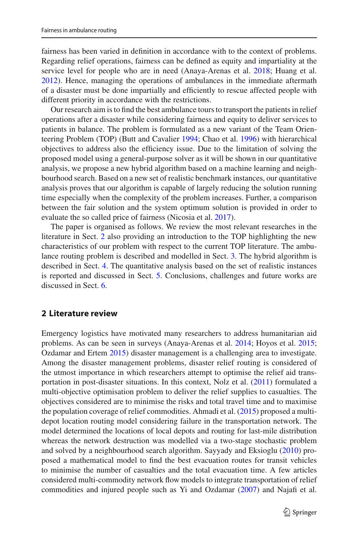fairness has been varied in definition in accordance with to the context of problems. Regarding relief operations, fairness can be defined as equity and impartiality at the service level for people who are in need (Anaya-Arenas et al[.](#page-21-1) [2018;](#page-21-1) Huang et al[.](#page-21-2) [2012\)](#page-21-2). Hence, managing the operations of ambulances in the immediate aftermath of a disaster must be done impartially and efficiently to rescue affected people with different priority in accordance with the restrictions.

Our research aim is to find the best ambulance tours to transport the patients in relief operations after a disaster while considering fairness and equity to deliver services to patients in balance. The problem is formulated as a new variant of the Team Orienteering Problem (TOP) (Butt and Cavalie[r](#page-21-3) [1994](#page-21-3); Chao et al[.](#page-21-4) [1996](#page-21-4)) with hierarchical objectives to address also the efficiency issue. Due to the limitation of solving the proposed model using a general-purpose solver as it will be shown in our quantitative analysis, we propose a new hybrid algorithm based on a machine learning and neighbourhood search. Based on a new set of realistic benchmark instances, our quantitative analysis proves that our algorithm is capable of largely reducing the solution running time especially when the complexity of the problem increases. Further, a comparison between the fair solution and the system optimum solution is provided in order to evaluate the so called price of fairness (Nicosia et al[.](#page-21-5) [2017\)](#page-21-5).

The paper is organised as follows. We review the most relevant researches in the literature in Sect. [2](#page-2-0) also providing an introduction to the TOP highlighting the new characteristics of our problem with respect to the current TOP literature. The ambulance routing problem is described and modelled in Sect. [3.](#page-4-0) The hybrid algorithm is described in Sect. [4.](#page-11-0) The quantitative analysis based on the set of realistic instances is reported and discussed in Sect. [5.](#page-14-0) Conclusions, challenges and future works are discussed in Sect. [6.](#page-19-0)

#### <span id="page-2-0"></span>**2 Literature review**

Emergency logistics have motivated many researchers to address humanitarian aid problems. As can be seen in surveys (Anaya-Arenas et al[.](#page-21-6) [2014;](#page-21-6) Hoyos et al[.](#page-21-7) [2015](#page-21-7); Ozdamar and Erte[m](#page-22-5) [2015](#page-22-5)) disaster management is a challenging area to investigate. Among the disaster management problems, disaster relief routing is considered of the utmost importance in which researchers attempt to optimise the relief aid transportation in post-disaster situations. In this context, Nolz et al. [\(2011](#page-22-6)) formulated a multi-objective optimisation problem to deliver the relief supplies to casualties. The objectives considered are to minimise the risks and total travel time and to maximise the population coverage of relief commodities. Ahmadi et al[.](#page-20-1) [\(2015\)](#page-20-1) proposed a multidepot location routing model considering failure in the transportation network. The model determined the locations of local depots and routing for last-mile distribution whereas the network destruction was modelled via a two-stage stochastic problem and solved by a neighbourhood search algorithm. Sayyady and Eksiogl[u](#page-22-7) [\(2010\)](#page-22-7) proposed a mathematical model to find the best evacuation routes for transit vehicles to minimise the number of casualties and the total evacuation time. A few articles considered multi-commodity network flow models to integrate transportation of relief commodities and injured people such as Yi and Ozdama[r](#page-22-8) [\(2007](#page-22-8)) and Najafi et al[.](#page-21-8)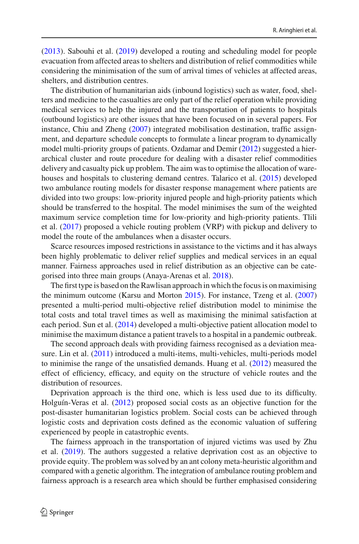[\(2013\)](#page-21-8). Sabouhi et al[.](#page-22-9) [\(2019](#page-22-9)) developed a routing and scheduling model for people evacuation from affected areas to shelters and distribution of relief commodities while considering the minimisation of the sum of arrival times of vehicles at affected areas, shelters, and distribution centres.

The distribution of humanitarian aids (inbound logistics) such as water, food, shelters and medicine to the casualties are only part of the relief operation while providing medical services to help the injured and the transportation of patients to hospitals (outbound logistics) are other issues that have been focused on in several papers. For instance, Chiu and Zhen[g](#page-21-9) [\(2007](#page-21-9)) integrated mobilisation destination, traffic assignment, and departure schedule concepts to formulate a linear program to dynamically model multi-priority groups of patients. Ozdamar and Demi[r](#page-22-10) [\(2012\)](#page-22-10) suggested a hierarchical cluster and route procedure for dealing with a disaster relief commodities delivery and casualty pick up problem. The aim was to optimise the allocation of warehouses and hospitals to clustering demand centres. Talarico et al[.](#page-22-1) [\(2015](#page-22-1)) developed two ambulance routing models for disaster response management where patients are divided into two groups: low-priority injured people and high-priority patients which should be transferred to the hospital. The model minimises the sum of the weighted maximum service completion time for low-priority and high-priority patients. Tlili et al[.](#page-22-11) [\(2017\)](#page-22-11) proposed a vehicle routing problem (VRP) with pickup and delivery to model the route of the ambulances when a disaster occurs.

Scarce resources imposed restrictions in assistance to the victims and it has always been highly problematic to deliver relief supplies and medical services in an equal manner. Fairness approaches used in relief distribution as an objective can be categorised into three main groups (Anaya-Arenas et al[.](#page-21-1) [2018](#page-21-1)).

The first type is based on the Rawlisan approach in which the focus is on maximising the minimum outcome (Karsu and Morto[n](#page-21-10) [2015](#page-21-10)). For instance, Tzeng et al[.](#page-22-12) [\(2007\)](#page-22-12) presented a multi-period multi-objective relief distribution model to minimise the total costs and total travel times as well as maximising the minimal satisfaction at each period. Sun et al[.](#page-22-13) [\(2014](#page-22-13)) developed a multi-objective patient allocation model to minimise the maximum distance a patient travels to a hospital in a pandemic outbreak.

The second approach deals with providing fairness recognised as a deviation measure. Lin et al[.](#page-21-11) [\(2011\)](#page-21-11) introduced a multi-items, multi-vehicles, multi-periods model to minimise the range of the unsatisfied demands. Huang et al[.](#page-21-2) [\(2012\)](#page-21-2) measured the effect of efficiency, efficacy, and equity on the structure of vehicle routes and the distribution of resources.

Deprivation approach is the third one, which is less used due to its difficulty. Holguín-Veras et al[.](#page-21-12) [\(2012](#page-21-12)) proposed social costs as an objective function for the post-disaster humanitarian logistics problem. Social costs can be achieved through logistic costs and deprivation costs defined as the economic valuation of suffering experienced by people in catastrophic events.

The fairness approach in the transportation of injured victims was used by Zhu et al[.](#page-22-4) [\(2019\)](#page-22-4). The authors suggested a relative deprivation cost as an objective to provide equity. The problem was solved by an ant colony meta-heuristic algorithm and compared with a genetic algorithm. The integration of ambulance routing problem and fairness approach is a research area which should be further emphasised considering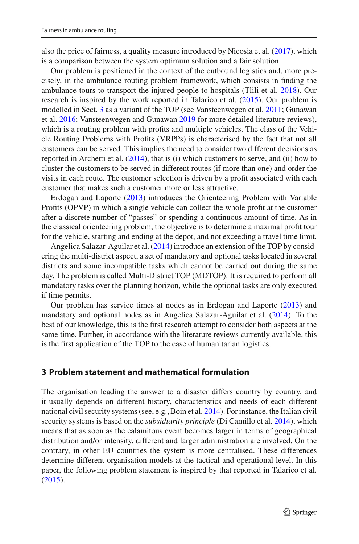also the price of fairness, a quality measure introduced by Nicosia et al[.](#page-21-5) [\(2017\)](#page-21-5), which is a comparison between the system optimum solution and a fair solution.

Our problem is positioned in the context of the outbound logistics and, more precisely, in the ambulance routing problem framework, which consists in finding the ambulance tours to transport the injured people to hospitals (Tlili et al[.](#page-22-3) [2018](#page-22-3)). Our research is inspired by the work reported in Talarico et al[.](#page-22-1) [\(2015\)](#page-22-1). Our problem is modelled in Sect. [3](#page-4-0) as a variant of the TOP (see Vansteenwegen et al[.](#page-22-14) [2011](#page-22-14); Gunawan et al[.](#page-21-13) [2016;](#page-21-13) Vansteenwegen and Gunawa[n](#page-22-15) [2019](#page-22-15) for more detailed literature reviews), which is a routing problem with profits and multiple vehicles. The class of the Vehicle Routing Problems with Profits (VRPPs) is characterised by the fact that not all customers can be served. This implies the need to consider two different decisions as reported in Archetti et al[.](#page-21-14) [\(2014\)](#page-21-14), that is (i) which customers to serve, and (ii) how to cluster the customers to be served in different routes (if more than one) and order the visits in each route. The customer selection is driven by a profit associated with each customer that makes such a customer more or less attractive.

Erdogan and Laport[e](#page-21-15) [\(2013\)](#page-21-15) introduces the Orienteering Problem with Variable Profits (OPVP) in which a single vehicle can collect the whole profit at the customer after a discrete number of "passes" or spending a continuous amount of time. As in the classical orienteering problem, the objective is to determine a maximal profit tour for the vehicle, starting and ending at the depot, and not exceeding a travel time limit.

Angelica Salazar-Aguilar et al[.](#page-21-16) [\(2014\)](#page-21-16) introduce an extension of the TOP by considering the multi-district aspect, a set of mandatory and optional tasks located in several districts and some incompatible tasks which cannot be carried out during the same day. The problem is called Multi-District TOP (MDTOP). It is required to perform all mandatory tasks over the planning horizon, while the optional tasks are only executed if time permits.

Our problem has service times at nodes as in Erdogan and Laport[e](#page-21-15) [\(2013\)](#page-21-15) and mandatory and optional nodes as in Angelica Salazar-Aguilar et al[.](#page-21-16) [\(2014\)](#page-21-16). To the best of our knowledge, this is the first research attempt to consider both aspects at the same time. Further, in accordance with the literature reviews currently available, this is the first application of the TOP to the case of humanitarian logistics.

## <span id="page-4-0"></span>**3 Problem statement and mathematical formulation**

The organisation leading the answer to a disaster differs country by country, and it usually depends on different history, characteristics and needs of each different national civil security systems (see, e.g., Boin et al[.](#page-21-17) [2014\)](#page-21-17). For instance, the Italian civil security systems is based on the *subsidiarity principle* (Di Camillo et al[.](#page-21-18) [2014\)](#page-21-18), which means that as soon as the calamitous event becomes larger in terms of geographical distribution and/or intensity, different and larger administration are involved. On the contrary, in other EU countries the system is more centralised. These differences determine different organisation models at the tactical and operational level. In this paper, the following problem statement is inspired by that reported in Talarico et al[.](#page-22-1) [\(2015\)](#page-22-1).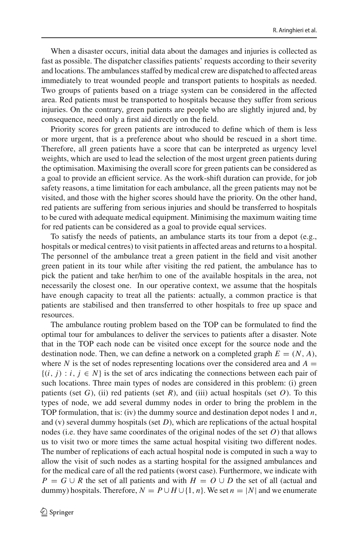When a disaster occurs, initial data about the damages and injuries is collected as fast as possible. The dispatcher classifies patients' requests according to their severity and locations. The ambulances staffed by medical crew are dispatched to affected areas immediately to treat wounded people and transport patients to hospitals as needed. Two groups of patients based on a triage system can be considered in the affected area. Red patients must be transported to hospitals because they suffer from serious injuries. On the contrary, green patients are people who are slightly injured and, by consequence, need only a first aid directly on the field.

Priority scores for green patients are introduced to define which of them is less or more urgent, that is a preference about who should be rescued in a short time. Therefore, all green patients have a score that can be interpreted as urgency level weights, which are used to lead the selection of the most urgent green patients during the optimisation. Maximising the overall score for green patients can be considered as a goal to provide an efficient service. As the work-shift duration can provide, for job safety reasons, a time limitation for each ambulance, all the green patients may not be visited, and those with the higher scores should have the priority. On the other hand, red patients are suffering from serious injuries and should be transferred to hospitals to be cured with adequate medical equipment. Minimising the maximum waiting time for red patients can be considered as a goal to provide equal services.

To satisfy the needs of patients, an ambulance starts its tour from a depot (e.g., hospitals or medical centres) to visit patients in affected areas and returns to a hospital. The personnel of the ambulance treat a green patient in the field and visit another green patient in its tour while after visiting the red patient, the ambulance has to pick the patient and take her/him to one of the available hospitals in the area, not necessarily the closest one. In our operative context, we assume that the hospitals have enough capacity to treat all the patients: actually, a common practice is that patients are stabilised and then transferred to other hospitals to free up space and resources.

The ambulance routing problem based on the TOP can be formulated to find the optimal tour for ambulances to deliver the services to patients after a disaster. Note that in the TOP each node can be visited once except for the source node and the destination node. Then, we can define a network on a completed graph  $E = (N, A)$ , where *N* is the set of nodes representing locations over the considered area and  $A =$  $\{(i, j) : i, j \in N\}$  is the set of arcs indicating the connections between each pair of such locations. Three main types of nodes are considered in this problem: (i) green patients (set  $G$ ), (ii) red patients (set  $R$ ), and (iii) actual hospitals (set  $O$ ). To this types of node, we add several dummy nodes in order to bring the problem in the TOP formulation, that is: (iv) the dummy source and destination depot nodes 1 and *n*, and (v) several dummy hospitals (set *D*), which are replications of the actual hospital nodes (i.e. they have same coordinates of the original nodes of the set *O*) that allows us to visit two or more times the same actual hospital visiting two different nodes. The number of replications of each actual hospital node is computed in such a way to allow the visit of such nodes as a starting hospital for the assigned ambulances and for the medical care of all the red patients (worst case). Furthermore, we indicate with *P* =  $G \cup R$  the set of all patients and with *H* =  $O \cup D$  the set of all (actual and dummy) hospitals. Therefore,  $N = P \cup H \cup \{1, n\}$ . We set  $n = |N|$  and we enumerate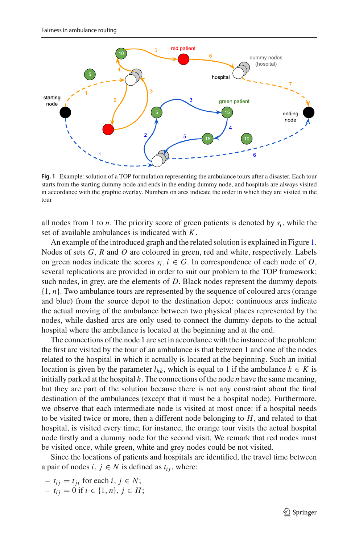

<span id="page-6-0"></span>**Fig. 1** Example: solution of a TOP formulation representing the ambulance tours after a disaster. Each tour starts from the starting dummy node and ends in the ending dummy node, and hospitals are always visited in accordance with the graphic overlay. Numbers on arcs indicate the order in which they are visited in the tour

all nodes from 1 to *n*. The priority score of green patients is denoted by  $s_i$ , while the set of available ambulances is indicated with *K*.

An example of the introduced graph and the related solution is explained in Figure [1.](#page-6-0) Nodes of sets *G*, *R* and *O* are coloured in green, red and white, respectively. Labels on green nodes indicate the scores  $s_i$ ,  $i \in G$ . In correspondence of each node of *O*, several replications are provided in order to suit our problem to the TOP framework; such nodes, in grey, are the elements of *D*. Black nodes represent the dummy depots {1, *n*}. Two ambulance tours are represented by the sequence of coloured arcs (orange and blue) from the source depot to the destination depot: continuous arcs indicate the actual moving of the ambulance between two physical places represented by the nodes, while dashed arcs are only used to connect the dummy depots to the actual hospital where the ambulance is located at the beginning and at the end.

The connections of the node 1 are set in accordance with the instance of the problem: the first arc visited by the tour of an ambulance is that between 1 and one of the nodes related to the hospital in which it actually is located at the beginning. Such an initial location is given by the parameter  $l_{hk}$ , which is equal to 1 if the ambulance  $k \in K$  is initially parked at the hospital *h*. The connections of the node *n* have the same meaning, but they are part of the solution because there is not any constraint about the final destination of the ambulances (except that it must be a hospital node). Furthermore, we observe that each intermediate node is visited at most once: if a hospital needs to be visited twice or more, then a different node belonging to *H*, and related to that hospital, is visited every time; for instance, the orange tour visits the actual hospital node firstly and a dummy node for the second visit. We remark that red nodes must be visited once, while green, white and grey nodes could be not visited.

Since the locations of patients and hospitals are identified, the travel time between a pair of nodes  $i, j \in N$  is defined as  $t_{ij}$ , where:

 $- t_{ij} = t_{ji}$  for each  $i, j \in N$ ;

 *if <i>i* ∈ {1, *n*}, *j* ∈ *H*;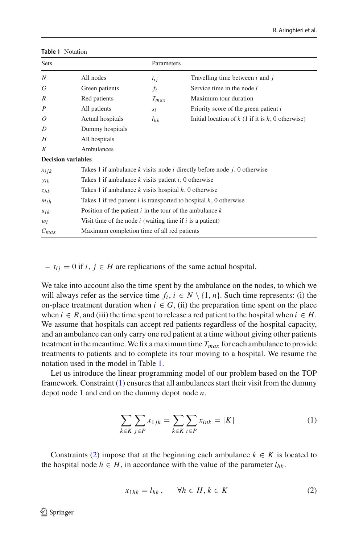| <b>Sets</b>               |                                                               | Parameters |                                                                                 |
|---------------------------|---------------------------------------------------------------|------------|---------------------------------------------------------------------------------|
| N                         | All nodes                                                     | $t_{i,i}$  | Travelling time between $i$ and $j$                                             |
| G                         | Green patients                                                | $f_i$      | Service time in the node $i$                                                    |
| R                         | Red patients                                                  | $T_{max}$  | Maximum tour duration                                                           |
| $\boldsymbol{P}$          | All patients                                                  | $S_i$      | Priority score of the green patient i                                           |
| 0                         | Actual hospitals                                              | $l_{hk}$   | Initial location of $k$ (1 if it is $h$ , 0 otherwise)                          |
| D                         | Dummy hospitals                                               |            |                                                                                 |
| H                         | All hospitals                                                 |            |                                                                                 |
| К                         | Ambulances                                                    |            |                                                                                 |
| <b>Decision variables</b> |                                                               |            |                                                                                 |
| $x_{ijk}$                 |                                                               |            | Takes 1 if ambulance $k$ visits node $i$ directly before node $j$ , 0 otherwise |
| $y_{ik}$                  | Takes 1 if ambulance $k$ visits patient $i$ , 0 otherwise     |            |                                                                                 |
| $z_{hk}$                  | Takes 1 if ambulance $k$ visits hospital $h$ , 0 otherwise    |            |                                                                                 |
| $m_{ih}$                  |                                                               |            | Takes 1 if red patient $i$ is transported to hospital $h$ , 0 otherwise         |
| $u_{ik}$                  | Position of the patient $i$ in the tour of the ambulance $k$  |            |                                                                                 |
| $w_i$                     | Visit time of the node $i$ (waiting time if $i$ is a patient) |            |                                                                                 |
| $C_{max}$                 | Maximum completion time of all red patients                   |            |                                                                                 |

#### <span id="page-7-0"></span>**Table 1** Notation

 $− t_{ij} = 0$  if *i*, *j* ∈ *H* are replications of the same actual hospital.

We take into account also the time spent by the ambulance on the nodes, to which we will always refer as the service time  $f_i$ ,  $i \in N \setminus \{1, n\}$ . Such time represents: (i) the on-place treatment duration when  $i \in G$ , (ii) the preparation time spent on the place when  $i \in R$ , and (iii) the time spent to release a red patient to the hospital when  $i \in H$ . We assume that hospitals can accept red patients regardless of the hospital capacity, and an ambulance can only carry one red patient at a time without giving other patients treatment in the meantime. We fix a maximum time  $T_{max}$  for each ambulance to provide treatments to patients and to complete its tour moving to a hospital. We resume the notation used in the model in Table [1.](#page-7-0)

Let us introduce the linear programming model of our problem based on the TOP framework. Constraint  $(1)$  ensures that all ambulances start their visit from the dummy depot node 1 and end on the dummy depot node *n*.

<span id="page-7-1"></span>
$$
\sum_{k \in K} \sum_{j \in P} x_{1jk} = \sum_{k \in K} \sum_{i \in P} x_{ink} = |K| \tag{1}
$$

Constraints [\(2\)](#page-7-2) impose that at the beginning each ambulance  $k \in K$  is located to the hospital node  $h \in H$ , in accordance with the value of the parameter  $l_{hk}$ .

<span id="page-7-2"></span>
$$
x_{1hk} = l_{hk}, \qquad \forall h \in H, k \in K \tag{2}
$$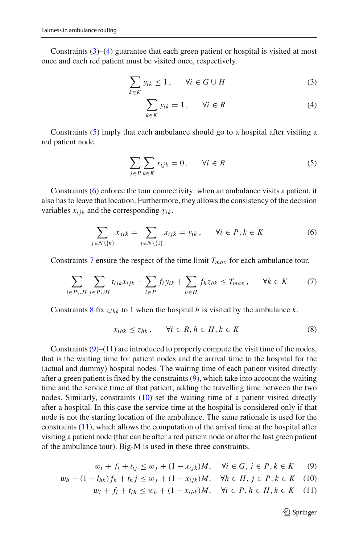Constraints  $(3)$ – $(4)$  guarantee that each green patient or hospital is visited at most once and each red patient must be visited once, respectively.

<span id="page-8-0"></span>
$$
\sum_{k \in K} y_{ik} \le 1, \qquad \forall i \in G \cup H \tag{3}
$$

$$
\sum_{k \in K} y_{ik} = 1, \qquad \forall i \in R \tag{4}
$$

Constraints [\(5\)](#page-8-1) imply that each ambulance should go to a hospital after visiting a red patient node.

<span id="page-8-1"></span>
$$
\sum_{j \in P} \sum_{k \in K} x_{ijk} = 0, \qquad \forall i \in R \tag{5}
$$

Constraints [\(6\)](#page-8-2) enforce the tour connectivity: when an ambulance visits a patient, it also has to leave that location. Furthermore, they allows the consistency of the decision variables  $x_{ijk}$  and the corresponding  $y_{ik}$ .

<span id="page-8-2"></span>
$$
\sum_{j \in N \setminus \{n\}} x_{jik} = \sum_{j \in N \setminus \{1\}} x_{ijk} = y_{ik}, \quad \forall i \in P, k \in K
$$
 (6)

Constraints [7](#page-8-3) ensure the respect of the time limit *Tmax* for each ambulance tour.

<span id="page-8-3"></span>
$$
\sum_{i \in P \cup H} \sum_{j \in P \cup H} t_{ijk} x_{ijk} + \sum_{i \in P} f_i y_{ik} + \sum_{h \in H} f_h z_{hk} \le T_{max}, \quad \forall k \in K \qquad (7)
$$

Constraints [8](#page-8-4) fix *zihk* to 1 when the hospital *h* is visited by the ambulance *k*.

<span id="page-8-4"></span>
$$
x_{ihk} \le z_{hk}, \qquad \forall i \in R, h \in H, k \in K \tag{8}
$$

Constraints  $(9)$ – $(11)$  are introduced to properly compute the visit time of the nodes, that is the waiting time for patient nodes and the arrival time to the hospital for the (actual and dummy) hospital nodes. The waiting time of each patient visited directly after a green patient is fixed by the constraints [\(9\)](#page-8-5), which take into account the waiting time and the service time of that patient, adding the travelling time between the two nodes. Similarly, constraints [\(10\)](#page-8-5) set the waiting time of a patient visited directly after a hospital. In this case the service time at the hospital is considered only if that node is not the starting location of the ambulance. The same rationale is used for the constraints [\(11\)](#page-8-5), which allows the computation of the arrival time at the hospital after visiting a patient node (that can be after a red patient node or after the last green patient of the ambulance tour). Big-M is used in these three constraints.

<span id="page-8-5"></span>
$$
w_i + f_i + t_{ij} \le w_j + (1 - x_{ijk})M, \quad \forall i \in G, j \in P, k \in K
$$
 (9)

$$
w_h + (1 - l_{hk})f_h + t_h j \le w_j + (1 - x_{ijk})M, \quad \forall h \in H, j \in P, k \in K \quad (10)
$$

$$
w_i + f_i + t_{ih} \le w_h + (1 - x_{ihk})M, \quad \forall i \in P, h \in H, k \in K \quad (11)
$$

 $\mathcal{D}$  Springer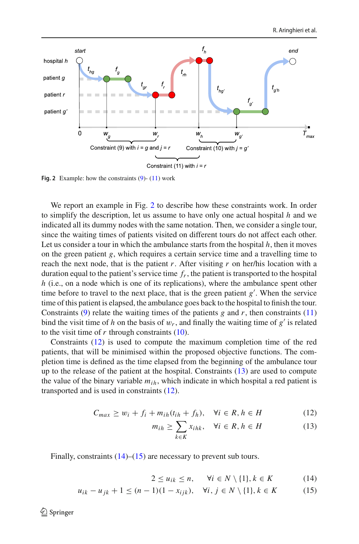

<span id="page-9-0"></span>**Fig. 2** Example: how the constraints [\(9\)](#page-8-5)- [\(11\)](#page-8-5) work

We report an example in Fig. [2](#page-9-0) to describe how these constraints work. In order to simplify the description, let us assume to have only one actual hospital *h* and we indicated all its dummy nodes with the same notation. Then, we consider a single tour, since the waiting times of patients visited on different tours do not affect each other. Let us consider a tour in which the ambulance starts from the hospital  $h$ , then it moves on the green patient *g*, which requires a certain service time and a travelling time to reach the next node, that is the patient  $r$ . After visiting  $r$  on her/his location with a duration equal to the patient's service time *fr*, the patient is transported to the hospital *h* (i.e., on a node which is one of its replications), where the ambulance spent other time before to travel to the next place, that is the green patient *g* . When the service time of this patient is elapsed, the ambulance goes back to the hospital to finish the tour. Constraints [\(9\)](#page-8-5) relate the waiting times of the patients  $g$  and  $r$ , then constraints [\(11\)](#page-8-5) bind the visit time of *h* on the basis of  $w_r$ , and finally the waiting time of  $g'$  is related to the visit time of  $r$  through constraints  $(10)$ .

Constraints [\(12\)](#page-9-1) is used to compute the maximum completion time of the red patients, that will be minimised within the proposed objective functions. The completion time is defined as the time elapsed from the beginning of the ambulance tour up to the release of the patient at the hospital. Constraints [\(13\)](#page-9-1) are used to compute the value of the binary variable  $m_{ih}$ , which indicate in which hospital a red patient is transported and is used in constraints [\(12\)](#page-9-1).

<span id="page-9-1"></span>
$$
C_{max} \ge w_i + f_i + m_{ih}(t_{ih} + f_h), \quad \forall i \in R, h \in H
$$
 (12)

$$
m_{ih} \ge \sum_{k \in K} x_{ihk}, \quad \forall i \in R, h \in H \tag{13}
$$

Finally, constraints  $(14)$ – $(15)$  are necessary to prevent sub tours.

<span id="page-9-2"></span>
$$
2 \le u_{ik} \le n, \quad \forall i \in N \setminus \{1\}, k \in K \tag{14}
$$

$$
u_{ik} - u_{jk} + 1 \le (n - 1)(1 - x_{ijk}), \quad \forall i, j \in N \setminus \{1\}, k \in K
$$
 (15)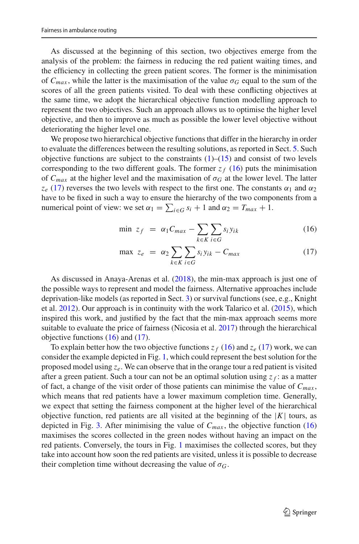As discussed at the beginning of this section, two objectives emerge from the analysis of the problem: the fairness in reducing the red patient waiting times, and the efficiency in collecting the green patient scores. The former is the minimisation of  $C_{max}$ , while the latter is the maximisation of the value  $\sigma_G$  equal to the sum of the scores of all the green patients visited. To deal with these conflicting objectives at the same time, we adopt the hierarchical objective function modelling approach to represent the two objectives. Such an approach allows us to optimise the higher level objective, and then to improve as much as possible the lower level objective without deteriorating the higher level one.

We propose two hierarchical objective functions that differ in the hierarchy in order to evaluate the differences between the resulting solutions, as reported in Sect. [5.](#page-14-0) Such objective functions are subject to the constraints  $(1)$ – $(15)$  and consist of two levels corresponding to the two different goals. The former  $z_f$  [\(16\)](#page-10-0) puts the minimisation of  $C_{max}$  at the higher level and the maximisation of  $\sigma_G$  at the lower level. The latter  $z_e$  [\(17\)](#page-10-0) reverses the two levels with respect to the first one. The constants  $\alpha_1$  and  $\alpha_2$ have to be fixed in such a way to ensure the hierarchy of the two components from a numerical point of view: we set  $\alpha_1 = \sum_{i \in G} s_i + 1$  and  $\alpha_2 = T_{max} + 1$ .

<span id="page-10-0"></span>
$$
\min z_f = \alpha_1 C_{max} - \sum_{k \in K} \sum_{i \in G} s_i y_{ik} \tag{16}
$$

$$
\max z_e = \alpha_2 \sum_{k \in K} \sum_{i \in G} s_i y_{ik} - C_{max} \tag{17}
$$

As discussed in Anaya-Arenas et al[.](#page-21-1) [\(2018\)](#page-21-1), the min-max approach is just one of the possible ways to represent and model the fairness. Alternative approaches include deprivation-like models (as reported in Sect. [3\)](#page-4-0) or survival functions (see, e.g., Knight et al[.](#page-21-19) [2012](#page-21-19)). Our approach is in continuity with the work Talarico et al[.](#page-22-1) [\(2015\)](#page-22-1), which inspired this work, and justified by the fact that the min-max approach seems more suitable to evaluate the price of fairness (Nicosia et al[.](#page-21-5) [2017](#page-21-5)) through the hierarchical objective functions [\(16\)](#page-10-0) and [\(17\)](#page-10-0).

To explain better how the two objective functions  $z_f$  [\(16\)](#page-10-0) and  $z_e$  [\(17\)](#page-10-0) work, we can consider the example depicted in Fig. [1,](#page-6-0) which could represent the best solution for the proposed model using *ze*. We can observe that in the orange tour a red patient is visited after a green patient. Such a tour can not be an optimal solution using  $z_f$ : as a matter of fact, a change of the visit order of those patients can minimise the value of  $C_{max}$ , which means that red patients have a lower maximum completion time. Generally, we expect that setting the fairness component at the higher level of the hierarchical objective function, red patients are all visited at the beginning of the  $|K|$  tours, as depicted in Fig. [3.](#page-11-1) After minimising the value of  $C_{max}$ , the objective function  $(16)$ maximises the scores collected in the green nodes without having an impact on the red patients. Conversely, the tours in Fig. [1](#page-6-0) maximises the collected scores, but they take into account how soon the red patients are visited, unless it is possible to decrease their completion time without decreasing the value of  $\sigma$ <sup>*G*</sup>.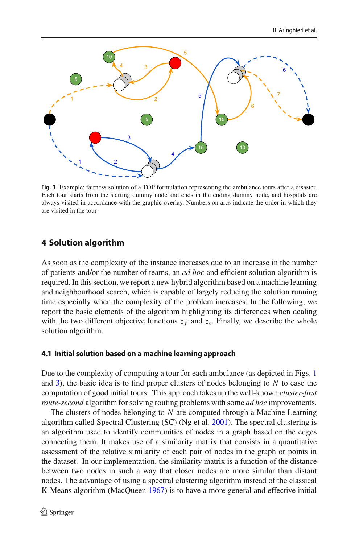

<span id="page-11-1"></span>**Fig. 3** Example: fairness solution of a TOP formulation representing the ambulance tours after a disaster. Each tour starts from the starting dummy node and ends in the ending dummy node, and hospitals are always visited in accordance with the graphic overlay. Numbers on arcs indicate the order in which they are visited in the tour

## <span id="page-11-0"></span>**4 Solution algorithm**

As soon as the complexity of the instance increases due to an increase in the number of patients and/or the number of teams, an *ad hoc* and efficient solution algorithm is required. In this section, we report a new hybrid algorithm based on a machine learning and neighbourhood search, which is capable of largely reducing the solution running time especially when the complexity of the problem increases. In the following, we report the basic elements of the algorithm highlighting its differences when dealing with the two different objective functions  $z_f$  and  $z_e$ . Finally, we describe the whole solution algorithm.

## <span id="page-11-2"></span>**4.1 Initial solution based on a machine learning approach**

Due to the complexity of computing a tour for each ambulance (as depicted in Figs. [1](#page-6-0) and [3\)](#page-11-1), the basic idea is to find proper clusters of nodes belonging to *N* to ease the computation of good initial tours. This approach takes up the well-known *cluster-first route-second* algorithm for solving routing problems with some *ad hoc* improvements.

The clusters of nodes belonging to *N* are computed through a Machine Learning algorithm called Spectral Clustering (SC) (Ng et al[.](#page-21-20) [2001](#page-21-20)). The spectral clustering is an algorithm used to identify communities of nodes in a graph based on the edges connecting them. It makes use of a similarity matrix that consists in a quantitative assessment of the relative similarity of each pair of nodes in the graph or points in the dataset. In our implementation, the similarity matrix is a function of the distance between two nodes in such a way that closer nodes are more similar than distant nodes. The advantage of using a spectral clustering algorithm instead of the classical K-Means algorithm (MacQuee[n](#page-21-21) [1967\)](#page-21-21) is to have a more general and effective initial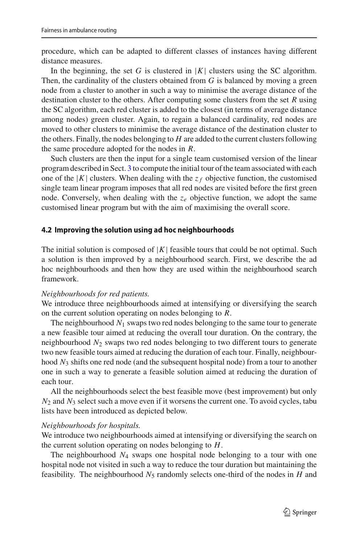procedure, which can be adapted to different classes of instances having different distance measures.

In the beginning, the set *G* is clustered in  $|K|$  clusters using the SC algorithm. Then, the cardinality of the clusters obtained from *G* is balanced by moving a green node from a cluster to another in such a way to minimise the average distance of the destination cluster to the others. After computing some clusters from the set *R* using the SC algorithm, each red cluster is added to the closest (in terms of average distance among nodes) green cluster. Again, to regain a balanced cardinality, red nodes are moved to other clusters to minimise the average distance of the destination cluster to the others. Finally, the nodes belonging to *H* are added to the current clusters following the same procedure adopted for the nodes in *R*.

Such clusters are then the input for a single team customised version of the linear program described in Sect. [3](#page-4-0) to compute the initial tour of the team associated with each one of the  $|K|$  clusters. When dealing with the  $z_f$  objective function, the customised single team linear program imposes that all red nodes are visited before the first green node. Conversely, when dealing with the  $z_e$  objective function, we adopt the same customised linear program but with the aim of maximising the overall score.

## <span id="page-12-0"></span>**4.2 Improving the solution using ad hoc neighbourhoods**

The initial solution is composed of  $|K|$  feasible tours that could be not optimal. Such a solution is then improved by a neighbourhood search. First, we describe the ad hoc neighbourhoods and then how they are used within the neighbourhood search framework.

## *Neighbourhoods for red patients.*

We introduce three neighbourhoods aimed at intensifying or diversifying the search on the current solution operating on nodes belonging to *R*.

The neighbourhood *N*<sup>1</sup> swaps two red nodes belonging to the same tour to generate a new feasible tour aimed at reducing the overall tour duration. On the contrary, the neighbourhood *N*<sup>2</sup> swaps two red nodes belonging to two different tours to generate two new feasible tours aimed at reducing the duration of each tour. Finally, neighbourhood *N*<sup>3</sup> shifts one red node (and the subsequent hospital node) from a tour to another one in such a way to generate a feasible solution aimed at reducing the duration of each tour.

All the neighbourhoods select the best feasible move (best improvement) but only *N*<sup>2</sup> and *N*<sup>3</sup> select such a move even if it worsens the current one. To avoid cycles, tabu lists have been introduced as depicted below.

## *Neighbourhoods for hospitals.*

We introduce two neighbourhoods aimed at intensifying or diversifying the search on the current solution operating on nodes belonging to *H*.

The neighbourhood *N*<sup>4</sup> swaps one hospital node belonging to a tour with one hospital node not visited in such a way to reduce the tour duration but maintaining the feasibility. The neighbourhood  $N_5$  randomly selects one-third of the nodes in  $H$  and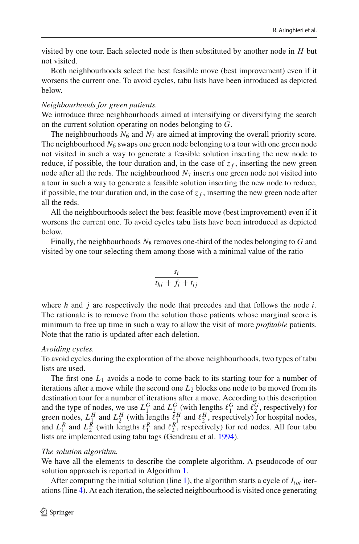visited by one tour. Each selected node is then substituted by another node in *H* but not visited.

Both neighbourhoods select the best feasible move (best improvement) even if it worsens the current one. To avoid cycles, tabu lists have been introduced as depicted below.

#### *Neighbourhoods for green patients.*

We introduce three neighbourhoods aimed at intensifying or diversifying the search on the current solution operating on nodes belonging to *G*.

The neighbourhoods  $N_6$  and  $N_7$  are aimed at improving the overall priority score. The neighbourhood  $N_6$  swaps one green node belonging to a tour with one green node not visited in such a way to generate a feasible solution inserting the new node to reduce, if possible, the tour duration and, in the case of  $z_f$ , inserting the new green node after all the reds. The neighbourhood  $N<sub>7</sub>$  inserts one green node not visited into a tour in such a way to generate a feasible solution inserting the new node to reduce, if possible, the tour duration and, in the case of  $z_f$ , inserting the new green node after all the reds.

All the neighbourhoods select the best feasible move (best improvement) even if it worsens the current one. To avoid cycles tabu lists have been introduced as depicted below.

Finally, the neighbourhoods  $N_8$  removes one-third of the nodes belonging to  $G$  and visited by one tour selecting them among those with a minimal value of the ratio

$$
\frac{s_i}{t_{hi} + f_i + t_{ij}}
$$

where *h* and *j* are respectively the node that precedes and that follows the node *i*. The rationale is to remove from the solution those patients whose marginal score is minimum to free up time in such a way to allow the visit of more *profitable* patients. Note that the ratio is updated after each deletion.

#### *Avoiding cycles.*

To avoid cycles during the exploration of the above neighbourhoods, two types of tabu lists are used.

The first one *L*<sup>1</sup> avoids a node to come back to its starting tour for a number of iterations after a move while the second one *L*<sup>2</sup> blocks one node to be moved from its destination tour for a number of iterations after a move. According to this description and the type of nodes, we use  $L_1^G$  and  $L_2^G$  (with lengths  $\ell_1^G$  and  $\ell_2^G$ , respectively) for green nodes,  $L_1^H$  and  $L_2^H$  (with lengths  $\ell_1^H$  and  $\ell_2^H$ , respectively) for hospital nodes, and  $L_1^R$  and  $L_2^R$  (with lengths  $\ell_1^R$  and  $\ell_2^R$ , respectively) for red nodes. All four tabu lists are implemented using tabu tags (Gendreau et al[.](#page-21-22) [1994\)](#page-21-22).

#### *The solution algorithm.*

We have all the elements to describe the complete algorithm. A pseudocode of our solution approach is reported in Algorithm [1.](#page-14-1)

After computing the initial solution (line [1\)](#page-14-2), the algorithm starts a cycle of  $I_{tot}$  iterations (line [4\)](#page-14-3). At each iteration, the selected neighbourhood is visited once generating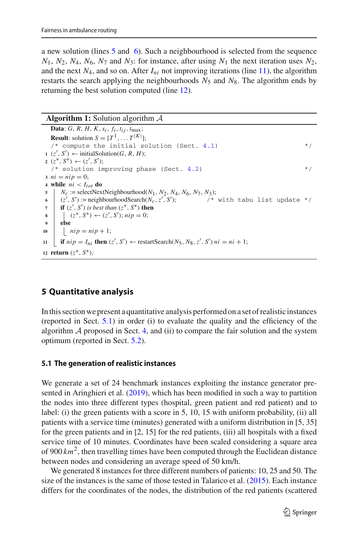a new solution (lines [5](#page-14-4) and [6\)](#page-14-5). Such a neighbourhood is selected from the sequence  $N_1$ ,  $N_2$ ,  $N_4$ ,  $N_6$ ,  $N_7$  and  $N_3$ : for instance, after using  $N_1$  the next iteration uses  $N_2$ , and the next  $N_4$ , and so on. After  $I_{ni}$  not improving iterations (line [11\)](#page-14-6), the algorithm restarts the search applying the neighbourhoods  $N_5$  and  $N_8$ . The algorithm ends by returning the best solution computed (line [12\)](#page-14-7).

#### **Algorithm 1:** Solution algorithm *A*

```
Data: G, R, H, K, s<sub>i</sub>, f<sub>i</sub>, f<sub>i</sub>, t<sub>ij</sub>, t<sub>max</sub>;
   Result: solution S = [T^1, \dots, T^{|K|}];
   /* compute the initial solution (Sect. 4.1) */
 1 (z<sup>'</sup>, S<sup>'</sup>) ← initialSolution(G, R, H);
 2 (z^*, S^*) ← (z', S');
   /* solution improving phase (Sect. 4.2) */
3 \text{ } ni = ni = 0;4 while ni < I_{tot} do
5 N<sub>c</sub> := selectNextNeighbourhood(N_1, N_2, N_4, N_6, N_7, N_3);
 \bullet (z', S') := \text{neighborhoodSearch}(N_c, z', S')/* with tabu list update */7 \| if (z', S') is best than (z<sup>*</sup>, S<sup>*</sup>) then
 8 \left| \begin{array}{c} (z^*, S^*) \leftarrow (z', S'); nip = 0; \end{array} \right.9 else
10 nip = nip + 1;11 \left[ if nip = I_{ni} then (z', S') ← restartSearch(N_5, N_8, z', S') ni = ni + 1;
12 return (z∗, S∗);
```
# <span id="page-14-7"></span><span id="page-14-6"></span><span id="page-14-1"></span><span id="page-14-0"></span>**5 Quantitative analysis**

In this section we present a quantitative analysis performed on a set of realistic instances (reported in Sect. [5.1\)](#page-14-8) in order (i) to evaluate the quality and the efficiency of the algorithm  $A$  proposed in Sect. [4,](#page-11-0) and (ii) to compare the fair solution and the system optimum (reported in Sect. [5.2\)](#page-15-0).

## <span id="page-14-8"></span>**5.1 The generation of realistic instances**

We generate a set of 24 benchmark instances exploiting the instance generator presented in Aringhieri et al[.](#page-21-23) [\(2019\)](#page-21-23), which has been modified in such a way to partition the nodes into three different types (hospital, green patient and red patient) and to label: (i) the green patients with a score in 5, 10, 15 with uniform probability, (ii) all patients with a service time (minutes) generated with a uniform distribution in [5, 35] for the green patients and in [2, 15] for the red patients, (iii) all hospitals with a fixed service time of 10 minutes. Coordinates have been scaled considering a square area of 900 *km*2, then travelling times have been computed through the Euclidean distance between nodes and considering an average speed of 50 km/h.

We generated 8 instances for three different numbers of patients: 10, 25 and 50. The size of the instances is the same of those tested in Talarico et al[.](#page-22-1) [\(2015](#page-22-1)). Each instance differs for the coordinates of the nodes, the distribution of the red patients (scattered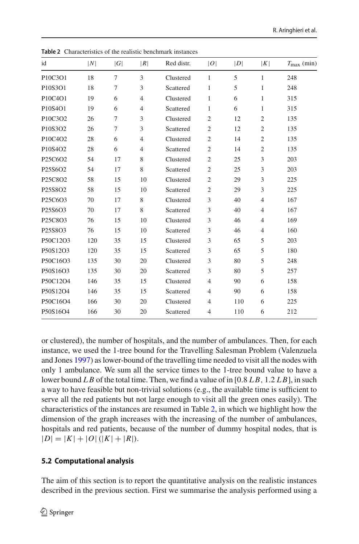| id       | N   | G      | R              | Red distr. | O              | D   | K              | $T_{\text{max}}$ (min) |
|----------|-----|--------|----------------|------------|----------------|-----|----------------|------------------------|
| P10C3O1  | 18  | 7      | 3              | Clustered  | 1              | 5   | $\mathbf{1}$   | 248                    |
| P10S3O1  | 18  | 7      | 3              | Scattered  | 1              | 5   | 1              | 248                    |
| P10C4O1  | 19  | 6      | $\overline{4}$ | Clustered  | $\mathbf{1}$   | 6   | $\mathbf{1}$   | 315                    |
| P10S4O1  | 19  | 6      | $\overline{4}$ | Scattered  | 1              | 6   | 1              | 315                    |
| P10C3O2  | 26  | $\tau$ | 3              | Clustered  | $\mathfrak{2}$ | 12  | $\mathfrak{2}$ | 135                    |
| P10S3O2  | 26  | 7      | 3              | Scattered  | $\overline{c}$ | 12  | $\mathfrak{2}$ | 135                    |
| P10C4O2  | 28  | 6      | $\overline{4}$ | Clustered  | $\mathfrak{2}$ | 14  | $\mathfrak{2}$ | 135                    |
| P10S4O2  | 28  | 6      | $\overline{4}$ | Scattered  | $\mathfrak{2}$ | 14  | $\mathfrak{2}$ | 135                    |
| P25C6O2  | 54  | 17     | 8              | Clustered  | $\mathfrak{2}$ | 25  | 3              | 203                    |
| P25S6O2  | 54  | 17     | 8              | Scattered  | $\overline{c}$ | 25  | 3              | 203                    |
| P25C8O2  | 58  | 15     | 10             | Clustered  | $\overline{c}$ | 29  | 3              | 225                    |
| P25S8O2  | 58  | 15     | 10             | Scattered  | $\mathfrak{2}$ | 29  | 3              | 225                    |
| P25C6O3  | 70  | 17     | 8              | Clustered  | 3              | 40  | $\overline{4}$ | 167                    |
| P25S6O3  | 70  | 17     | 8              | Scattered  | 3              | 40  | $\overline{4}$ | 167                    |
| P25C8O3  | 76  | 15     | 10             | Clustered  | 3              | 46  | $\overline{4}$ | 169                    |
| P25S8O3  | 76  | 15     | 10             | Scattered  | 3              | 46  | $\overline{4}$ | 160                    |
| P50C12O3 | 120 | 35     | 15             | Clustered  | 3              | 65  | 5              | 203                    |
| P50S12O3 | 120 | 35     | 15             | Scattered  | 3              | 65  | 5              | 180                    |
| P50C16O3 | 135 | 30     | 20             | Clustered  | 3              | 80  | 5              | 248                    |
| P50S16O3 | 135 | 30     | 20             | Scattered  | 3              | 80  | 5              | 257                    |
| P50C12O4 | 146 | 35     | 15             | Clustered  | $\overline{4}$ | 90  | 6              | 158                    |
| P50S12O4 | 146 | 35     | 15             | Scattered  | 4              | 90  | 6              | 158                    |
| P50C16O4 | 166 | 30     | 20             | Clustered  | 4              | 110 | 6              | 225                    |
| P50S16O4 | 166 | 30     | 20             | Scattered  | $\overline{4}$ | 110 | 6              | 212                    |
|          |     |        |                |            |                |     |                |                        |

<span id="page-15-1"></span>**Table 2** Characteristics of the realistic benchmark instances

or clustered), the number of hospitals, and the number of ambulances. Then, for each instance, we used the 1-tree bound for the Travelling Salesman Problem (Valenzuela and Jone[s](#page-22-16) [1997\)](#page-22-16) as lower-bound of the travelling time needed to visit all the nodes with only 1 ambulance. We sum all the service times to the 1-tree bound value to have a lower bound *L B* of the total time. Then, we find a value of in [0.8 *L B*, 1.2 *L B*], in such a way to have feasible but non-trivial solutions (e.g., the available time is sufficient to serve all the red patients but not large enough to visit all the green ones easily). The characteristics of the instances are resumed in Table [2,](#page-15-1) in which we highlight how the dimension of the graph increases with the increasing of the number of ambulances, hospitals and red patients, because of the number of dummy hospital nodes, that is  $|D| = |K| + |O|(|K| + |R|).$ 

# <span id="page-15-0"></span>**5.2 Computational analysis**

The aim of this section is to report the quantitative analysis on the realistic instances described in the previous section. First we summarise the analysis performed using a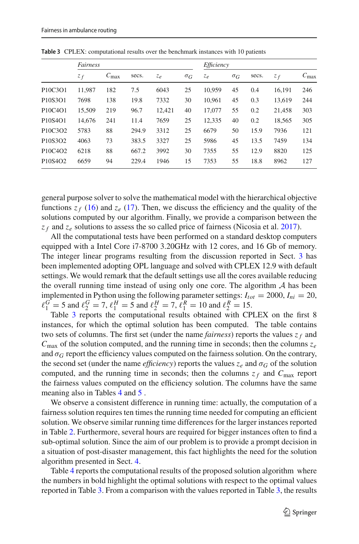|                                               | Fairness |                  |       |        |                       | Efficiency |                       |       |        |                  |
|-----------------------------------------------|----------|------------------|-------|--------|-----------------------|------------|-----------------------|-------|--------|------------------|
|                                               | $z_f$    | $C_{\text{max}}$ | secs. | $z_e$  | $\sigma$ <sub>G</sub> | $z_e$      | $\sigma$ <sub>G</sub> | secs. | $z_f$  | $C_{\text{max}}$ |
| P <sub>10</sub> C <sub>3</sub> O <sub>1</sub> | 11.987   | 182              | 7.5   | 6043   | 25                    | 10.959     | 45                    | 0.4   | 16.191 | 246              |
| P10S3O1                                       | 7698     | 138              | 19.8  | 7332   | 30                    | 10,961     | 45                    | 0.3   | 13.619 | 244              |
| P <sub>10</sub> C <sub>4</sub> O <sub>1</sub> | 15,509   | 219              | 96.7  | 12.421 | 40                    | 17,077     | 55                    | 0.2   | 21,458 | 303              |
| P10S4O1                                       | 14.676   | 241              | 11.4  | 7659   | 25                    | 12.335     | 40                    | 0.2   | 18.565 | 305              |
| P <sub>10</sub> C <sub>3</sub> O <sub>2</sub> | 5783     | 88               | 294.9 | 3312   | 25                    | 6679       | 50                    | 15.9  | 7936   | 121              |
| P10S3O2                                       | 4063     | 73               | 383.5 | 3327   | 25                    | 5986       | 45                    | 13.5  | 7459   | 134              |
| P <sub>10</sub> C <sub>4</sub> O <sub>2</sub> | 6218     | 88               | 667.2 | 3992   | 30                    | 7355       | 55                    | 12.9  | 8820   | 125              |
| P10S4O2                                       | 6659     | 94               | 229.4 | 1946   | 15                    | 7353       | 55                    | 18.8  | 8962   | 127              |

<span id="page-16-0"></span>**Table 3** CPLEX: computational results over the benchmark instances with 10 patients

general purpose solver to solve the mathematical model with the hierarchical objective functions  $z_f$  [\(16\)](#page-10-0) and  $z_e$  [\(17\)](#page-10-0). Then, we discuss the efficiency and the quality of the solutions computed by our algorithm. Finally, we provide a comparison between the *z <sup>f</sup>* and *ze* solutions to assess the so called price of fairness (Nicosia et al[.](#page-21-5) [2017\)](#page-21-5).

All the computational tests have been performed on a standard desktop computers equipped with a Intel Core i7-8700 3.20GHz with 12 cores, and 16 Gb of memory. The integer linear programs resulting from the discussion reported in Sect. [3](#page-4-0) has been implemented adopting OPL language and solved with CPLEX 12.9 with default settings. We would remark that the default settings use all the cores available reducing the overall running time instead of using only one core. The algorithm *A* has been implemented in Python using the following parameter settings:  $I_{tot} = 2000$ ,  $I_{ni} = 20$ ,  $\ell_1^G = 5$  and  $\ell_2^G = 7$ ,  $\ell_1^H = 5$  and  $\ell_2^H = 7$ ,  $\ell_1^R = 10$  and  $\ell_2^R = 15$ .

Table [3](#page-16-0) reports the computational results obtained with CPLEX on the first 8 instances, for which the optimal solution has been computed. The table contains two sets of columns. The first set (under the name *fairness*) reports the values  $z_f$  and  $C_{\text{max}}$  of the solution computed, and the running time in seconds; then the columns  $z_e$ and  $\sigma$ <sup>*G*</sup> report the efficiency values computed on the fairness solution. On the contrary, the second set (under the name *efficiency*) reports the values  $z_e$  and  $\sigma_G$  of the solution computed, and the running time in seconds; then the columns  $z_f$  and  $C_{\text{max}}$  report the fairness values computed on the efficiency solution. The columns have the same meaning also in Tables [4](#page-17-0) and [5](#page-17-1) .

We observe a consistent difference in running time: actually, the computation of a fairness solution requires ten times the running time needed for computing an efficient solution. We observe similar running time differences for the larger instances reported in Table [2.](#page-15-1) Furthermore, several hours are required for bigger instances often to find a sub-optimal solution. Since the aim of our problem is to provide a prompt decision in a situation of post-disaster management, this fact highlights the need for the solution algorithm presented in Sect. [4.](#page-11-0)

Table [4](#page-17-0) reports the computational results of the proposed solution algorithm where the numbers in bold highlight the optimal solutions with respect to the optimal values reported in Table [3.](#page-16-0) From a comparison with the values reported in Table [3,](#page-16-0) the results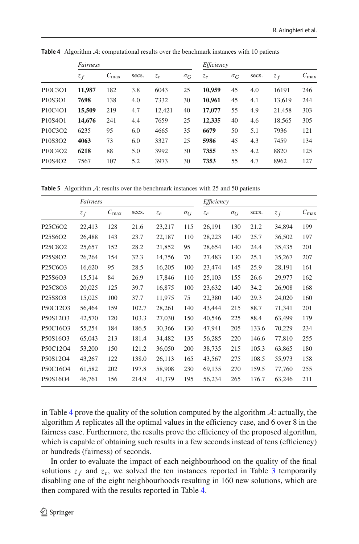|                                               | Fairness |                  |       |        |                       | Efficiency |                       |       |        |                  |
|-----------------------------------------------|----------|------------------|-------|--------|-----------------------|------------|-----------------------|-------|--------|------------------|
|                                               | $z_f$    | $C_{\text{max}}$ | secs. | $z_e$  | $\sigma$ <sub>G</sub> | Ze         | $\sigma$ <sub>G</sub> | secs. | $z_f$  | $C_{\text{max}}$ |
| P <sub>10</sub> C <sub>3</sub> O <sub>1</sub> | 11,987   | 182              | 3.8   | 6043   | 25                    | 10.959     | 45                    | 4.0   | 16191  | 246              |
| P10S3O1                                       | 7698     | 138              | 4.0   | 7332   | 30                    | 10.961     | 45                    | 4.1   | 13.619 | 244              |
| P <sub>10</sub> C <sub>4</sub> O <sub>1</sub> | 15,509   | 219              | 4.7   | 12.421 | 40                    | 17,077     | 55                    | 4.9   | 21.458 | 303              |
| P10S4O1                                       | 14,676   | 241              | 4.4   | 7659   | 25                    | 12,335     | 40                    | 4.6   | 18,565 | 305              |
| P10C3O2                                       | 6235     | 95               | 6.0   | 4665   | 35                    | 6679       | 50                    | 5.1   | 7936   | 121              |
| P10S3O2                                       | 4063     | 73               | 6.0   | 3327   | 25                    | 5986       | 45                    | 4.3   | 7459   | 134              |
| P10C4O2                                       | 6218     | 88               | 5.0   | 3992   | 30                    | 7355       | 55                    | 4.2   | 8820   | 125              |
| P <sub>10</sub> S <sub>4</sub> O <sub>2</sub> | 7567     | 107              | 5.2   | 3973   | 30                    | 7353       | 55                    | 4.7   | 8962   | 127              |

<span id="page-17-0"></span>**Table 4** Algorithm *A*: computational results over the benchmark instances with 10 patients

<span id="page-17-1"></span>**Table 5** Algorithm *A*: results over the benchmark instances with 25 and 50 patients

|                                               | Fairness |                  |       |        |                       | Efficiency |                       |       |        |                  |  |
|-----------------------------------------------|----------|------------------|-------|--------|-----------------------|------------|-----------------------|-------|--------|------------------|--|
|                                               | $z_f$    | $C_{\text{max}}$ | secs. | Ze     | $\sigma$ <sub>G</sub> | $z_e$      | $\sigma$ <sub>G</sub> | secs. | $z_f$  | $C_{\text{max}}$ |  |
| P <sub>25</sub> C <sub>6</sub> O <sub>2</sub> | 22,413   | 128              | 21.6  | 23,217 | 115                   | 26,191     | 130                   | 21.2  | 34,894 | 199              |  |
| P <sub>25</sub> S6O <sub>2</sub>              | 26,488   | 143              | 23.7  | 22,187 | 110                   | 28,223     | 140                   | 25.7  | 36,502 | 197              |  |
| P <sub>25</sub> C <sub>8</sub> O <sub>2</sub> | 25,657   | 152              | 28.2  | 21,852 | 95                    | 28,654     | 140                   | 24.4  | 35,435 | 201              |  |
| P25S8O2                                       | 26,264   | 154              | 32.3  | 14,756 | 70                    | 27,483     | 130                   | 25.1  | 35,267 | 207              |  |
| P <sub>25</sub> C <sub>6</sub> O <sub>3</sub> | 16,620   | 95               | 28.5  | 16,205 | 100                   | 23,474     | 145                   | 25.9  | 28,191 | 161              |  |
| P <sub>25</sub> S6O <sub>3</sub>              | 15,514   | 84               | 26.9  | 17,846 | 110                   | 25,103     | 155                   | 26.6  | 29,977 | 162              |  |
| P <sub>25</sub> C <sub>8</sub> O <sub>3</sub> | 20,025   | 125              | 39.7  | 16,875 | 100                   | 23,632     | 140                   | 34.2  | 26,908 | 168              |  |
| P <sub>25</sub> S <sub>8</sub> O <sub>3</sub> | 15,025   | 100              | 37.7  | 11,975 | 75                    | 22,380     | 140                   | 29.3  | 24,020 | 160              |  |
| P50C12O3                                      | 56,464   | 159              | 102.7 | 28,261 | 140                   | 43,444     | 215                   | 88.7  | 71,341 | 201              |  |
| P50S12O3                                      | 42,570   | 120              | 103.3 | 27,030 | 150                   | 40,546     | 225                   | 88.4  | 63,499 | 179              |  |
| P50C16O3                                      | 55,254   | 184              | 186.5 | 30,366 | 130                   | 47,941     | 205                   | 133.6 | 70,229 | 234              |  |
| P50S16O3                                      | 65,043   | 213              | 181.4 | 34,482 | 135                   | 56,285     | 220                   | 146.6 | 77,810 | 255              |  |
| P50C12O4                                      | 53,200   | 150              | 121.2 | 36,050 | 200                   | 38,735     | 215                   | 105.3 | 63,865 | 180              |  |
| P50S12O4                                      | 43,267   | 122              | 138.0 | 26,113 | 165                   | 43,567     | 275                   | 108.5 | 55,973 | 158              |  |
| P50C16O4                                      | 61,582   | 202              | 197.8 | 58,908 | 230                   | 69,135     | 270                   | 159.5 | 77,760 | 255              |  |
| P50S16O4                                      | 46,761   | 156              | 214.9 | 41,379 | 195                   | 56,234     | 265                   | 176.7 | 63,246 | 211              |  |

in Table [4](#page-17-0) prove the quality of the solution computed by the algorithm *A*: actually, the algorithm *A* replicates all the optimal values in the efficiency case, and 6 over 8 in the fairness case. Furthermore, the results prove the efficiency of the proposed algorithm, which is capable of obtaining such results in a few seconds instead of tens (efficiency) or hundreds (fairness) of seconds.

In order to evaluate the impact of each neighbourhood on the quality of the final solutions  $z_f$  and  $z_e$ , we solved the ten instances reported in Table [3](#page-16-0) temporarily disabling one of the eight neighbourhoods resulting in 160 new solutions, which are then compared with the results reported in Table [4.](#page-17-0)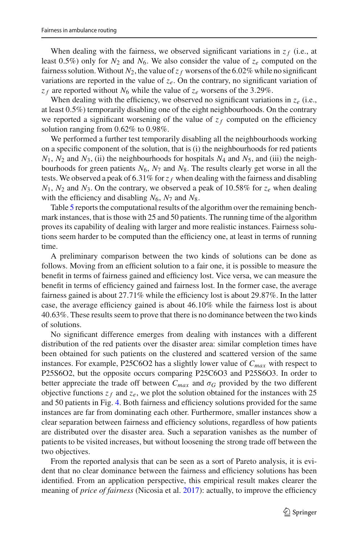When dealing with the fairness, we observed significant variations in  $z_f$  (i.e., at least 0.5%) only for  $N_2$  and  $N_6$ . We also consider the value of  $z_e$  computed on the fairness solution. Without  $N_2$ , the value of  $z_f$  worsens of the 6.02% while no significant variations are reported in the value of  $z_e$ . On the contrary, no significant variation of  $z_f$  are reported without  $N_6$  while the value of  $z_e$  worsens of the 3.29%.

When dealing with the efficiency, we observed no significant variations in  $z_e$  (i.e., at least 0.5%) temporarily disabling one of the eight neighbourhoods. On the contrary we reported a significant worsening of the value of  $z_f$  computed on the efficiency solution ranging from 0.62% to 0.98%.

We performed a further test temporarily disabling all the neighbourhoods working on a specific component of the solution, that is (i) the neighbourhoods for red patients  $N_1$ ,  $N_2$  and  $N_3$ , (ii) the neighbourhoods for hospitals  $N_4$  and  $N_5$ , and (iii) the neighbourhoods for green patients *N*6, *N*<sup>7</sup> and *N*8. The results clearly get worse in all the tests. We observed a peak of 6.31% for  $z_f$  when dealing with the fairness and disabling  $N_1$ ,  $N_2$  and  $N_3$ . On the contrary, we observed a peak of 10.58% for  $z_e$  when dealing with the efficiency and disabling  $N_6$ ,  $N_7$  and  $N_8$ .

Table [5](#page-17-1) reports the computational results of the algorithm over the remaining benchmark instances, that is those with 25 and 50 patients. The running time of the algorithm proves its capability of dealing with larger and more realistic instances. Fairness solutions seem harder to be computed than the efficiency one, at least in terms of running time.

A preliminary comparison between the two kinds of solutions can be done as follows. Moving from an efficient solution to a fair one, it is possible to measure the benefit in terms of fairness gained and efficiency lost. Vice versa, we can measure the benefit in terms of efficiency gained and fairness lost. In the former case, the average fairness gained is about 27.71% while the efficiency lost is about 29.87%. In the latter case, the average efficiency gained is about 46.10% while the fairness lost is about 40.63%. These results seem to prove that there is no dominance between the two kinds of solutions.

No significant difference emerges from dealing with instances with a different distribution of the red patients over the disaster area: similar completion times have been obtained for such patients on the clustered and scattered version of the same instances. For example, P25C6O2 has a slightly lower value of *Cmax* with respect to P25S6O2, but the opposite occurs comparing P25C6O3 and P25S6O3. In order to better appreciate the trade off between  $C_{max}$  and  $\sigma_G$  provided by the two different objective functions  $z_f$  and  $z_e$ , we plot the solution obtained for the instances with 25 and 50 patients in Fig. [4.](#page-19-1) Both fairness and efficiency solutions provided for the same instances are far from dominating each other. Furthermore, smaller instances show a clear separation between fairness and efficiency solutions, regardless of how patients are distributed over the disaster area. Such a separation vanishes as the number of patients to be visited increases, but without loosening the strong trade off between the two objectives.

From the reported analysis that can be seen as a sort of Pareto analysis, it is evident that no clear dominance between the fairness and efficiency solutions has been identified. From an application perspective, this empirical result makes clearer the meaning of *price of fairness* (Nicosia et al[.](#page-21-5) [2017](#page-21-5)): actually, to improve the efficiency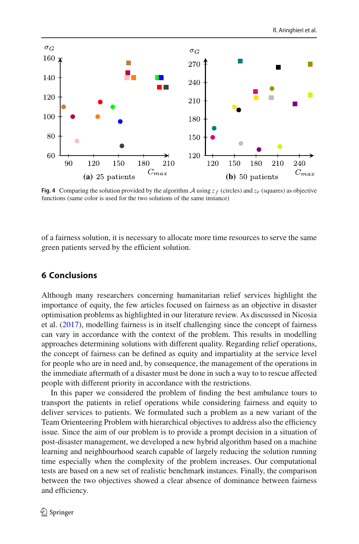

<span id="page-19-1"></span>**Fig. 4** Comparing the solution provided by the algorithm *A* using  $z_f$  (circles) and  $z_e$  (squares) as objective functions (same color is used for the two solutions of the same instance)

of a fairness solution, it is necessary to allocate more time resources to serve the same green patients served by the efficient solution.

# <span id="page-19-0"></span>**6 Conclusions**

Although many researchers concerning humanitarian relief services highlight the importance of equity, the few articles focused on fairness as an objective in disaster optimisation problems as highlighted in our literature review. As discussed in Nicosia et al[.](#page-21-5) [\(2017](#page-21-5)), modelling fairness is in itself challenging since the concept of fairness can vary in accordance with the context of the problem. This results in modelling approaches determining solutions with different quality. Regarding relief operations, the concept of fairness can be defined as equity and impartiality at the service level for people who are in need and, by consequence, the management of the operations in the immediate aftermath of a disaster must be done in such a way to to rescue affected people with different priority in accordance with the restrictions.

In this paper we considered the problem of finding the best ambulance tours to transport the patients in relief operations while considering fairness and equity to deliver services to patients. We formulated such a problem as a new variant of the Team Orienteering Problem with hierarchical objectives to address also the efficiency issue. Since the aim of our problem is to provide a prompt decision in a situation of post-disaster management, we developed a new hybrid algorithm based on a machine learning and neighbourhood search capable of largely reducing the solution running time especially when the complexity of the problem increases. Our computational tests are based on a new set of realistic benchmark instances. Finally, the comparison between the two objectives showed a clear absence of dominance between fairness and efficiency.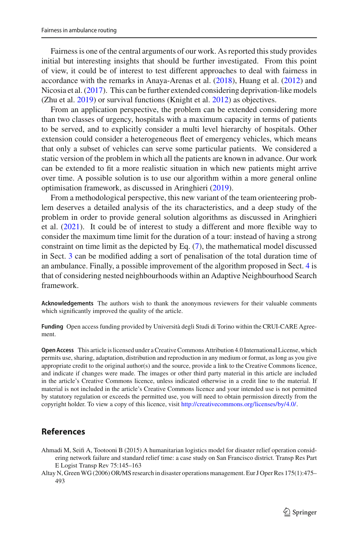Fairness is one of the central arguments of our work. As reported this study provides initial but interesting insights that should be further investigated. From this point of view, it could be of interest to test different approaches to deal with fairness in accordance with the remarks in Anaya-Arenas et al. [\(2018](#page-21-1)), Huang et al[.](#page-21-2) [\(2012\)](#page-21-2) and Nicosia et al[.](#page-21-5) [\(2017\)](#page-21-5). This can be further extended considering deprivation-like models (Zhu et al[.](#page-22-4) [2019](#page-22-4)) or survival functions (Knight et al. [2012\)](#page-21-19) as objectives.

From an application perspective, the problem can be extended considering more than two classes of urgency, hospitals with a maximum capacity in terms of patients to be served, and to explicitly consider a multi level hierarchy of hospitals. Other extension could consider a heterogeneous fleet of emergency vehicles, which means that only a subset of vehicles can serve some particular patients. We considered a static version of the problem in which all the patients are known in advance. Our work can be extended to fit a more realistic situation in which new patients might arrive over time. A possible solution is to use our algorithm within a more general online optimisation framework, as discussed in Aringhier[i](#page-21-24) [\(2019](#page-21-24)).

From a methodological perspective, this new variant of the team orienteering problem deserves a detailed analysis of the its characteristics, and a deep study of the problem in order to provide general solution algorithms as discussed in Aringhieri et al[.](#page-21-25) [\(2021\)](#page-21-25). It could be of interest to study a different and more flexible way to consider the maximum time limit for the duration of a tour: instead of having a strong constraint on time limit as the depicted by Eq. [\(7\)](#page-8-3), the mathematical model discussed in Sect. [3](#page-4-0) can be modified adding a sort of penalisation of the total duration time of an ambulance. Finally, a possible improvement of the algorithm proposed in Sect. [4](#page-11-0) is that of considering nested neighbourhoods within an Adaptive Neighbourhood Search framework.

**Acknowledgements** The authors wish to thank the anonymous reviewers for their valuable comments which significantly improved the quality of the article.

**Funding** Open access funding provided by Università degli Studi di Torino within the CRUI-CARE Agreement.

**Open Access** This article is licensed under a Creative Commons Attribution 4.0 International License, which permits use, sharing, adaptation, distribution and reproduction in any medium or format, as long as you give appropriate credit to the original author(s) and the source, provide a link to the Creative Commons licence, and indicate if changes were made. The images or other third party material in this article are included in the article's Creative Commons licence, unless indicated otherwise in a credit line to the material. If material is not included in the article's Creative Commons licence and your intended use is not permitted by statutory regulation or exceeds the permitted use, you will need to obtain permission directly from the copyright holder. To view a copy of this licence, visit [http://creativecommons.org/licenses/by/4.0/.](http://creativecommons.org/licenses/by/4.0/)

## **References**

<span id="page-20-1"></span>Ahmadi M, Seifi A, Tootooni B (2015) A humanitarian logistics model for disaster relief operation considering network failure and standard relief time: a case study on San Francisco district. Transp Res Part E Logist Transp Rev 75:145–163

<span id="page-20-0"></span>Altay N, GreenWG (2006) OR/MS research in disaster operations management. Eur J Oper Res 175(1):475– 493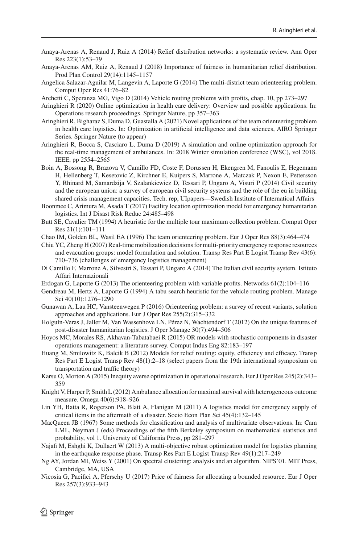- <span id="page-21-6"></span>Anaya-Arenas A, Renaud J, Ruiz A (2014) Relief distribution networks: a systematic review. Ann Oper Res 223(1):53–79
- <span id="page-21-1"></span>Anaya-Arenas AM, Ruiz A, Renaud J (2018) Importance of fairness in humanitarian relief distribution. Prod Plan Control 29(14):1145–1157
- <span id="page-21-16"></span>Angelica Salazar-Aguilar M, Langevin A, Laporte G (2014) The multi-district team orienteering problem. Comput Oper Res 41:76–82
- <span id="page-21-14"></span>Archetti C, Speranza MG, Vigo D (2014) Vehicle routing problems with profits, chap. 10, pp 273–297
- <span id="page-21-24"></span>Aringhieri R (2020) Online optimization in health care delivery: Overview and possible applications. In: Operations research proceedings. Springer Nature, pp 357–363
- <span id="page-21-25"></span>Aringhieri R, Bigharaz S, Duma D, Guastalla A (2021) Novel applications of the team orienteering problem in health care logistics. In: Optimization in artificial intelligence and data sciences, AIRO Springer Series. Springer Nature (to appear)
- <span id="page-21-23"></span>Aringhieri R, Bocca S, Casciaro L, Duma D (2019) A simulation and online optimization approach for the real-time management of ambulances. In: 2018 Winter simulation conference (WSC), vol 2018. IEEE, pp 2554–2565
- <span id="page-21-17"></span>Boin A, Bossong R, Brazova V, Camillo FD, Coste F, Dorussen H, Ekengren M, Fanoulis E, Hegemann H, Hellenberg T, Kesetovic Z, Kirchner E, Kuipers S, Marrone A, Matczak P, Nexon E, Pettersson Y, Rhinard M, Samardzija V, Szalankiewicz D, Tessari P, Ungaro A, Visuri P (2014) Civil security and the european union: a survey of european civil security systems and the role of the eu in building shared crisis management capacities. Tech. rep, UIpapers—Swedish Institute of Internatioal Affairs
- <span id="page-21-0"></span>Boonmee C, Arimura M, Asada T (2017) Facility location optimization model for emergency humanitarian logistics. Int J Disast Risk Reduc 24:485–498
- <span id="page-21-3"></span>Butt SE, Cavalier TM (1994) A heuristic for the multiple tour maximum collection problem. Comput Oper Res 21(1):101–111
- <span id="page-21-4"></span>Chao IM, Golden BL, Wasil EA (1996) The team orienteering problem. Eur J Oper Res 88(3):464–474
- <span id="page-21-9"></span>Chiu YC, Zheng H (2007) Real-time mobilization decisions for multi-priority emergency response resources and evacuation groups: model formulation and solution. Transp Res Part E Logist Transp Rev 43(6): 710–736 (challenges of emergency logistics management)
- <span id="page-21-18"></span>Di Camillo F, Marrone A, Silvestri S, Tessari P, Ungaro A (2014) The Italian civil security system. Istituto Affari Internazionali
- <span id="page-21-15"></span>Erdogan G, Laporte G (2013) The orienteering problem with variable profits. Networks 61(2):104–116
- <span id="page-21-22"></span>Gendreau M, Hertz A, Laporte G (1994) A tabu search heuristic for the vehicle routing problem. Manage Sci 40(10):1276–1290
- <span id="page-21-13"></span>Gunawan A, Lau HC, Vansteenwegen P (2016) Orienteering problem: a survey of recent variants, solution approaches and applications. Eur J Oper Res 255(2):315–332
- <span id="page-21-12"></span>Holguín-Veras J, Jaller M, Van Wassenhove LN, Pérez N, Wachtendorf T (2012) On the unique features of post-disaster humanitarian logistics. J Oper Manage 30(7):494–506
- <span id="page-21-7"></span>Hoyos MC, Morales RS, Akhavan-Tabatabaei R (2015) OR models with stochastic components in disaster operations management: a literature survey. Comput Indus Eng 82:183–197
- <span id="page-21-2"></span>Huang M, Smilowitz K, Balcik B (2012) Models for relief routing: equity, efficiency and efficacy. Transp Res Part E Logist Transp Rev 48(1):2–18 (select papers from the 19th international symposium on transportation and traffic theory)
- <span id="page-21-10"></span>Karsu O, Morton A (2015) Inequity averse optimization in operational research. Eur J Oper Res 245(2):343– 359
- <span id="page-21-19"></span>Knight V, Harper P, Smith L (2012) Ambulance allocation for maximal survival with heterogeneous outcome measure. Omega 40(6):918–926
- <span id="page-21-11"></span>Lin YH, Batta R, Rogerson PA, Blatt A, Flanigan M (2011) A logistics model for emergency supply of critical items in the aftermath of a disaster. Socio Econ Plan Sci 45(4):132–145
- <span id="page-21-21"></span>MacQueen JB (1967) Some methods for classification and analysis of multivariate observations. In: Cam LML, Neyman J (eds) Proceedings of the fifth Berkeley symposium on mathematical statistics and probability, vol 1. University of California Press, pp 281–297
- <span id="page-21-8"></span>Najafi M, Eshghi K, Dullaert W (2013) A multi-objective robust optimization model for logistics planning in the earthquake response phase. Transp Res Part E Logist Transp Rev 49(1):217–249
- <span id="page-21-20"></span>Ng AY, Jordan MI, Weiss Y (2001) On spectral clustering: analysis and an algorithm. NIPS'01. MIT Press, Cambridge, MA, USA
- <span id="page-21-5"></span>Nicosia G, Pacifici A, Pferschy U (2017) Price of fairness for allocating a bounded resource. Eur J Oper Res 257(3):933–943